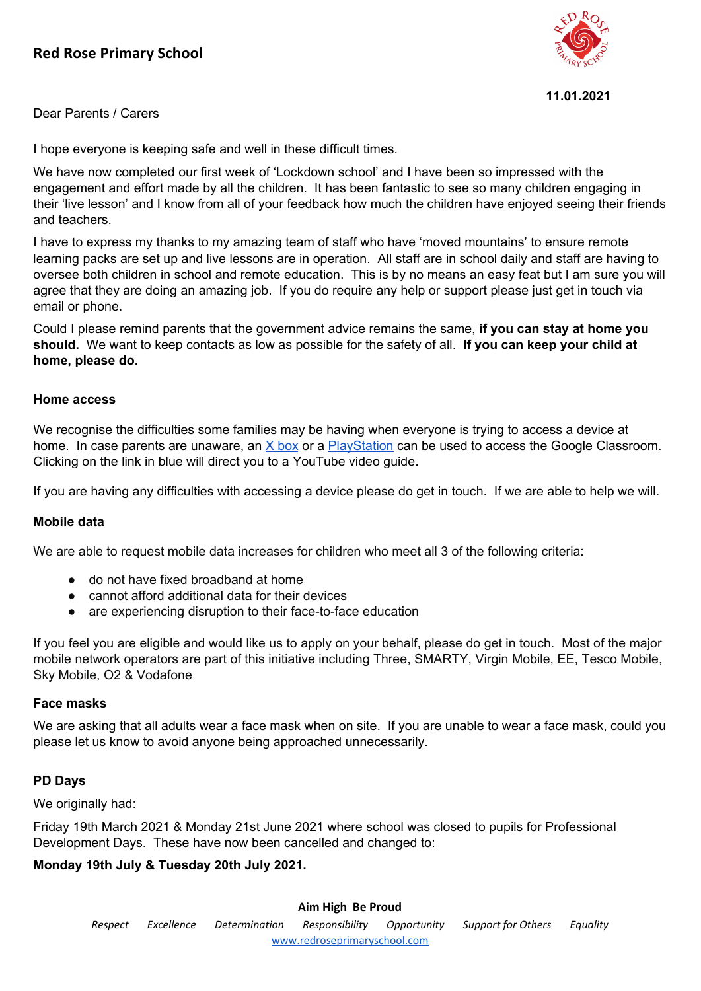# **Red Rose Primary School**



Dear Parents / Carers

I hope everyone is keeping safe and well in these difficult times.

We have now completed our first week of 'Lockdown school' and I have been so impressed with the engagement and effort made by all the children. It has been fantastic to see so many children engaging in their 'live lesson' and I know from all of your feedback how much the children have enjoyed seeing their friends and teachers.

I have to express my thanks to my amazing team of staff who have 'moved mountains' to ensure remote learning packs are set up and live lessons are in operation. All staff are in school daily and staff are having to oversee both children in school and remote education. This is by no means an easy feat but I am sure you will agree that they are doing an amazing job. If you do require any help or support please just get in touch via email or phone.

Could I please remind parents that the government advice remains the same, **if you can stay at home you should.** We want to keep contacts as low as possible for the safety of all. **If you can keep your child at home, please do.**

#### **Home access**

We recognise the difficulties some families may be having when everyone is trying to access a device at home. In c[a](https://www.youtube.com/watch?v=Oy0Os3w1U-A)se parents are unaware, an  $X$  [box](https://www.youtube.com/watch?v=CiNzN8QxIRI) or a [PlayStation](https://www.youtube.com/watch?v=Oy0Os3w1U-A) can be used to access the Google Classroom. Clicking on the link in blue will direct you to a YouTube video guide.

If you are having any difficulties with accessing a device please do get in touch. If we are able to help we will.

#### **Mobile data**

We are able to request mobile data increases for children who meet all 3 of the following criteria:

- do not have fixed broadband at home
- cannot afford additional data for their devices
- are experiencing disruption to their face-to-face education

If you feel you are eligible and would like us to apply on your behalf, please do get in touch. Most of the major mobile network operators are part of this initiative including Three, SMARTY, Virgin Mobile, EE, Tesco Mobile, Sky Mobile, O2 & Vodafone

#### **Face masks**

We are asking that all adults wear a face mask when on site. If you are unable to wear a face mask, could you please let us know to avoid anyone being approached unnecessarily.

#### **PD Days**

We originally had:

Friday 19th March 2021 & Monday 21st June 2021 where school was closed to pupils for Professional Development Days. These have now been cancelled and changed to:

#### **Monday 19th July & Tuesday 20th July 2021.**